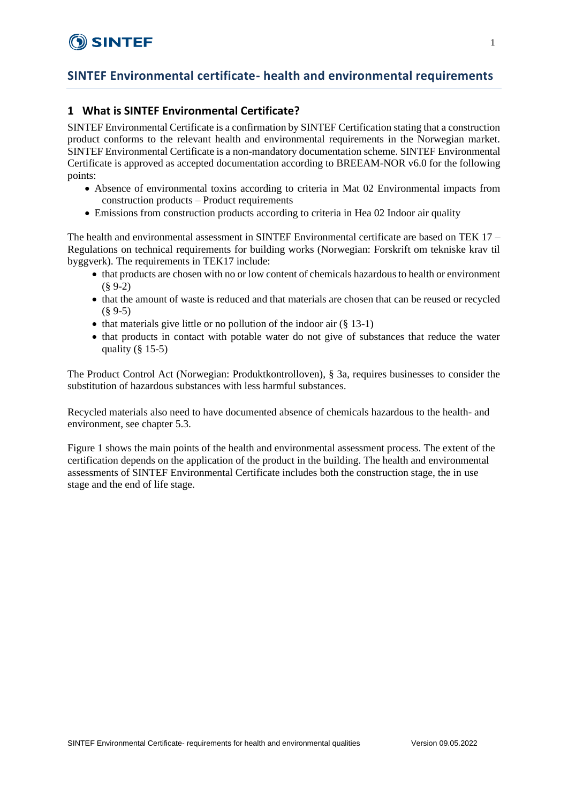# **SINTEF Environmental certificate- health and environmental requirements**

### **1 What is SINTEF Environmental Certificate?**

SINTEF Environmental Certificate is a confirmation by SINTEF Certification stating that a construction product conforms to the relevant health and environmental requirements in the Norwegian market. SINTEF Environmental Certificate is a non-mandatory documentation scheme. SINTEF Environmental Certificate is approved as accepted documentation according to BREEAM-NOR v6.0 for the following points:

- Absence of environmental toxins according to criteria in Mat 02 Environmental impacts from construction products – Product requirements
- Emissions from construction products according to criteria in Hea 02 Indoor air quality

The health and environmental assessment in SINTEF Environmental certificate are based on TEK 17 – Regulations on technical requirements for building works (Norwegian: Forskrift om tekniske krav til byggverk). The requirements in TEK17 include:

- that products are chosen with no or low content of chemicals hazardous to health or environment (§ 9-2)
- that the amount of waste is reduced and that materials are chosen that can be reused or recycled  $(89-5)$
- that materials give little or no pollution of the indoor air  $(\S 13-1)$
- that products in contact with potable water do not give of substances that reduce the water quality  $(\S 15-5)$

The Product Control Act (Norwegian: Produktkontrolloven), § 3a, requires businesses to consider the substitution of hazardous substances with less harmful substances.

Recycled materials also need to have documented absence of chemicals hazardous to the health- and environment, see chapter 5.3.

Figure 1 shows the main points of the health and environmental assessment process. The extent of the certification depends on the application of the product in the building. The health and environmental assessments of SINTEF Environmental Certificate includes both the construction stage, the in use stage and the end of life stage.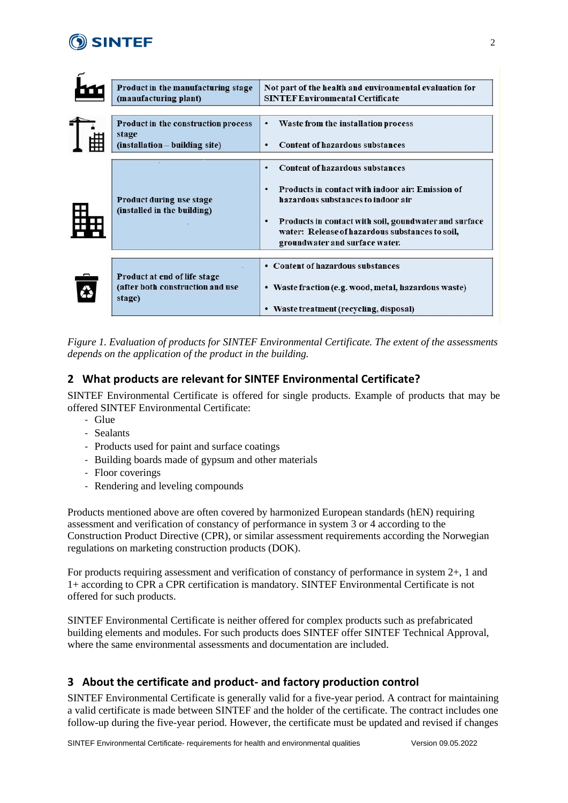

F

|         | Product in the manufacturing stage<br>(manufacturing plant)                             | Not part of the health and environmental evaluation for<br><b>SINTEF Environmental Certificate</b>                                                                                                                                                                                            |
|---------|-----------------------------------------------------------------------------------------|-----------------------------------------------------------------------------------------------------------------------------------------------------------------------------------------------------------------------------------------------------------------------------------------------|
| 电<br>F⊞ | <b>Product in the construction process</b><br>stage<br>$(installation - building site)$ | Waste from the installation process<br>٠<br><b>Content of hazardous substances</b><br>٠                                                                                                                                                                                                       |
| 鷝       | Product during use stage<br>(installed in the building)                                 | <b>Content of hazardous substances</b><br>٠<br>Products in contact with indoor air: Emission of<br>٠<br>hazardous substances to indoor air<br>Products in contact with soil, goundwater and surface<br>٠<br>water: Release of hazardous substances to soil,<br>groundwater and surface water. |
|         | Product at end of life stage<br>(after both construction and use<br>stage)              | • Content of hazardous substances<br>• Waste fraction (e.g. wood, metal, hazardous waste)<br>• Waste treatment (recycling, disposal)                                                                                                                                                          |

*Figure 1. Evaluation of products for SINTEF Environmental Certificate. The extent of the assessments depends on the application of the product in the building.*

## **2 What products are relevant for SINTEF Environmental Certificate?**

SINTEF Environmental Certificate is offered for single products. Example of products that may be offered SINTEF Environmental Certificate:

- Glue
- Sealants
- Products used for paint and surface coatings
- Building boards made of gypsum and other materials
- Floor coverings
- Rendering and leveling compounds

Products mentioned above are often covered by harmonized European standards (hEN) requiring assessment and verification of constancy of performance in system 3 or 4 according to the Construction Product Directive (CPR), or similar assessment requirements according the Norwegian regulations on marketing construction products (DOK).

For products requiring assessment and verification of constancy of performance in system  $2+$ , 1 and 1+ according to CPR a CPR certification is mandatory. SINTEF Environmental Certificate is not offered for such products.

SINTEF Environmental Certificate is neither offered for complex products such as prefabricated building elements and modules. For such products does SINTEF offer SINTEF Technical Approval, where the same environmental assessments and documentation are included.

## **3 About the certificate and product- and factory production control**

SINTEF Environmental Certificate is generally valid for a five-year period. A contract for maintaining a valid certificate is made between SINTEF and the holder of the certificate. The contract includes one follow-up during the five-year period. However, the certificate must be updated and revised if changes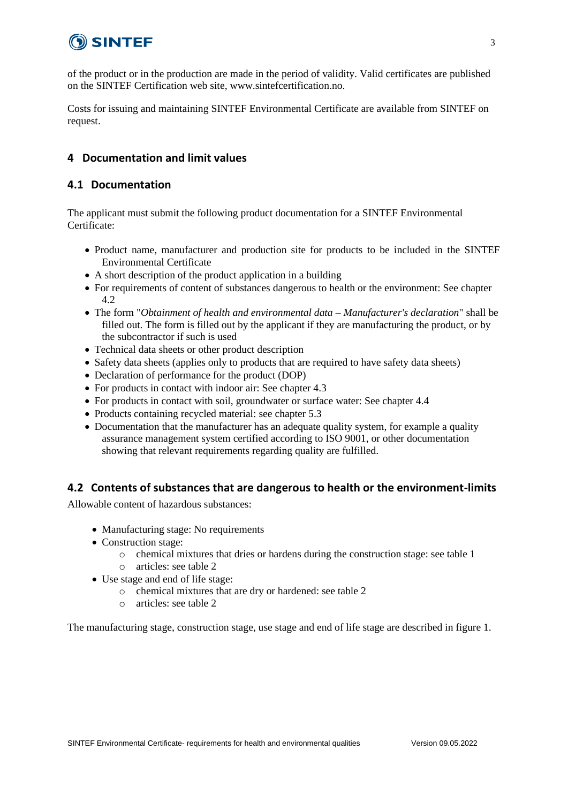

of the product or in the production are made in the period of validity. Valid certificates are published on the SINTEF Certification web site, www.sintefcertification.no.

Costs for issuing and maintaining SINTEF Environmental Certificate are available from SINTEF on request.

### **4 Documentation and limit values**

### **4.1 Documentation**

The applicant must submit the following product documentation for a SINTEF Environmental Certificate:

- Product name, manufacturer and production site for products to be included in the SINTEF Environmental Certificate
- A short description of the product application in a building
- For requirements of content of substances dangerous to health or the environment: See chapter  $4.2$
- The form "*Obtainment of health and environmental data – Manufacturer's declaration*" shall be filled out. The form is filled out by the applicant if they are manufacturing the product, or by the subcontractor if such is used
- Technical data sheets or other product description
- Safety data sheets (applies only to products that are required to have safety data sheets)
- Declaration of performance for the product (DOP)
- For products in contact with indoor air: See chapter 4.3
- For products in contact with soil, groundwater or surface water: See chapter 4.4
- Products containing recycled material: see chapter 5.3
- Documentation that the manufacturer has an adequate quality system, for example a quality assurance management system certified according to ISO 9001, or other documentation showing that relevant requirements regarding quality are fulfilled.

### **4.2 Contents of substances that are dangerous to health or the environment-limits**

Allowable content of hazardous substances:

- Manufacturing stage: No requirements
- Construction stage:
	- o chemical mixtures that dries or hardens during the construction stage: see table 1
	- o articles: see table 2
- Use stage and end of life stage:
	- o chemical mixtures that are dry or hardened: see table 2
	- o articles: see table 2

The manufacturing stage, construction stage, use stage and end of life stage are described in figure 1.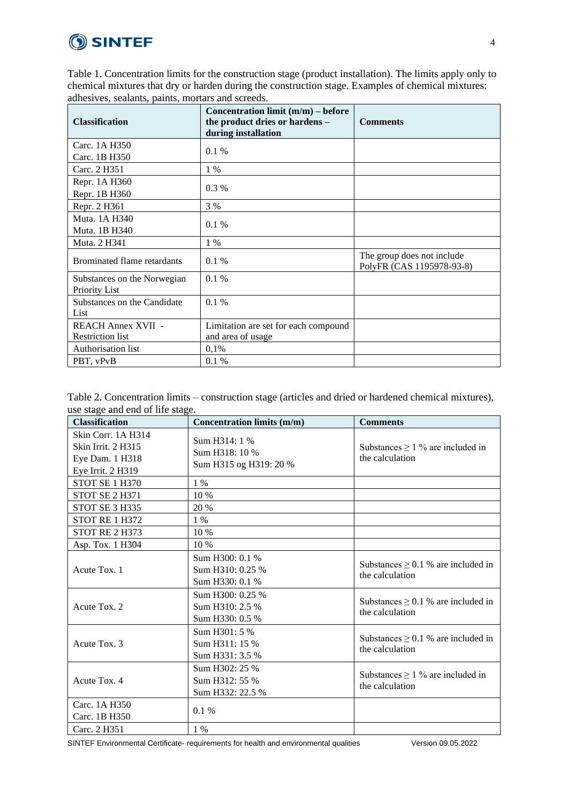# **SINTEF**

Table 1. Concentration limits for the construction stage (product installation). The limits apply only to chemical mixtures that dry or harden during the construction stage. Examples of chemical mixtures: adhesives, sealants, paints, mortars and screeds.

| <b>Classification</b>                                | Concentration limit $(m/m)$ – before<br>the product dries or hardens -<br>during installation | <b>Comments</b>                                         |
|------------------------------------------------------|-----------------------------------------------------------------------------------------------|---------------------------------------------------------|
| Carc. 1A H350                                        | 0.1%                                                                                          |                                                         |
| Carc. 1B H350                                        |                                                                                               |                                                         |
| Carc. 2 H351                                         | 1 %                                                                                           |                                                         |
| Repr. 1A H360                                        |                                                                                               |                                                         |
| Repr. 1B H360                                        | $0.3\%$                                                                                       |                                                         |
| Repr. 2 H361                                         | 3 %                                                                                           |                                                         |
| Muta, 1A H340                                        |                                                                                               |                                                         |
| Muta. 1B H340                                        | 0.1%                                                                                          |                                                         |
| Muta. 2 H341                                         | $1\%$                                                                                         |                                                         |
| Brominated flame retardants                          | $0.1\%$                                                                                       | The group does not include<br>PolyFR (CAS 1195978-93-8) |
| Substances on the Norwegian<br><b>Priority List</b>  | 0.1%                                                                                          |                                                         |
| Substances on the Candidate<br>List                  | 0.1%                                                                                          |                                                         |
|                                                      |                                                                                               |                                                         |
| <b>REACH Annex XVII -</b><br><b>Restriction list</b> | Limitation are set for each compound<br>and area of usage                                     |                                                         |
|                                                      |                                                                                               |                                                         |
| Authorisation list                                   | 0,1%                                                                                          |                                                         |
| PBT, vPvB                                            | $0.1\%$                                                                                       |                                                         |

|                                  | Table 2. Concentration limits – construction stage (articles and dried or hardened chemical mixtures), |
|----------------------------------|--------------------------------------------------------------------------------------------------------|
| use stage and end of life stage. |                                                                                                        |

| <b>Classification</b>                                                            | Concentration limits (m/m)                                | <b>Comments</b>                                            |
|----------------------------------------------------------------------------------|-----------------------------------------------------------|------------------------------------------------------------|
| Skin Corr. 1A H314<br>Skin Irrit. 2 H315<br>Eye Dam. 1 H318<br>Eye Irrit. 2 H319 | Sum H314: 1 %<br>Sum H318: 10 %<br>Sum H315 og H319: 20 % | Substances $\geq 1$ % are included in<br>the calculation   |
| STOT SE 1 H370                                                                   | $1\%$                                                     |                                                            |
| STOT SE 2 H371                                                                   | 10 %                                                      |                                                            |
| STOT SE 3 H335                                                                   | 20 %                                                      |                                                            |
| STOT RE 1 H372                                                                   | 1 %                                                       |                                                            |
| STOT RE 2 H373                                                                   | 10 %                                                      |                                                            |
| Asp. Tox. 1 H304                                                                 | 10 %                                                      |                                                            |
| Acute Tox. 1                                                                     | Sum H300: 0.1 %<br>Sum H310: 0.25 %<br>Sum H330: 0.1 %    | Substances $\geq$ 0.1 % are included in<br>the calculation |
| Acute Tox. 2                                                                     | Sum H300: 0.25 %<br>Sum H310: 2.5 %<br>Sum H330: 0.5 %    | Substances $\geq$ 0.1 % are included in<br>the calculation |
| Acute Tox. 3                                                                     | Sum H301: 5 %<br>Sum H311: 15 %<br>Sum H331: 3.5 %        | Substances $\geq$ 0.1 % are included in<br>the calculation |
| Acute Tox. 4                                                                     | Sum H302: 25 %<br>Sum H312: 55 %<br>Sum H332: 22.5 %      | Substances $\geq 1$ % are included in<br>the calculation   |
| Carc. 1A H350<br>Carc. 1B H350                                                   | $0.1\%$                                                   |                                                            |
| Carc. 2 H351                                                                     | $1\%$                                                     |                                                            |

SINTEF Environmental Certificate- requirements for health and environmental qualities Version 09.05.2022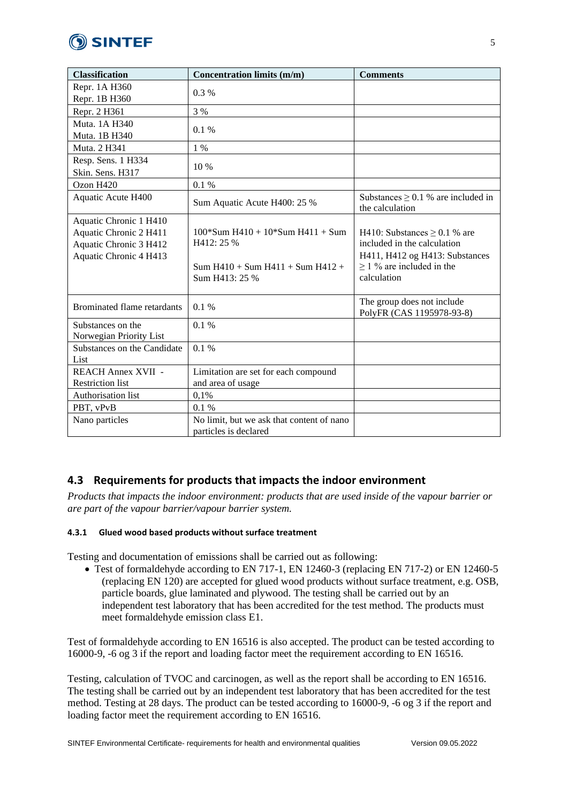

| <b>Classification</b>               | <b>Concentration limits (m/m)</b>         | <b>Comments</b>                                            |
|-------------------------------------|-------------------------------------------|------------------------------------------------------------|
| Repr. 1A H360                       | $0.3\%$                                   |                                                            |
| Repr. 1B H360                       |                                           |                                                            |
| Repr. 2 H361                        | 3 %                                       |                                                            |
| Muta. 1A H340                       | 0.1%                                      |                                                            |
| Muta. 1B H340                       |                                           |                                                            |
| Muta. 2 H341                        | $1\%$                                     |                                                            |
| Resp. Sens. 1 H334                  | $10\%$                                    |                                                            |
| Skin. Sens. H317                    |                                           |                                                            |
| Ozon H420                           | 0.1 %                                     |                                                            |
| Aquatic Acute H400                  | Sum Aquatic Acute H400: 25 %              | Substances $\geq$ 0.1 % are included in<br>the calculation |
| Aquatic Chronic 1 H410              |                                           |                                                            |
| Aquatic Chronic 2 H411              | $100*Sum H410 + 10*Sum H411 + Sum$        | H410: Substances $\geq$ 0.1 % are                          |
| Aquatic Chronic 3 H412              | H412: 25 %                                | included in the calculation                                |
| Aquatic Chronic 4 H413              |                                           | H411, H412 og H413: Substances                             |
|                                     | Sum $H410 + Sum H411 + Sum H412 +$        | $\geq$ 1 % are included in the                             |
|                                     | Sum H413: 25 %                            | calculation                                                |
| Brominated flame retardants         | 0.1%                                      | The group does not include                                 |
|                                     |                                           | PolyFR (CAS 1195978-93-8)                                  |
| Substances on the                   | 0.1%                                      |                                                            |
| Norwegian Priority List             | 0.1%                                      |                                                            |
| Substances on the Candidate<br>List |                                           |                                                            |
| <b>REACH Annex XVII -</b>           | Limitation are set for each compound      |                                                            |
| <b>Restriction</b> list             | and area of usage                         |                                                            |
| Authorisation list                  | 0,1%                                      |                                                            |
| PBT, vPvB                           | 0.1%                                      |                                                            |
| Nano particles                      | No limit, but we ask that content of nano |                                                            |
|                                     | particles is declared                     |                                                            |

# **4.3 Requirements for products that impacts the indoor environment**

*Products that impacts the indoor environment: products that are used inside of the vapour barrier or are part of the vapour barrier/vapour barrier system.*

### **4.3.1 Glued wood based products without surface treatment**

Testing and documentation of emissions shall be carried out as following:

• Test of formaldehyde according to EN 717-1, EN 12460-3 (replacing EN 717-2) or EN 12460-5 (replacing EN 120) are accepted for glued wood products without surface treatment, e.g. OSB, particle boards, glue laminated and plywood. The testing shall be carried out by an independent test laboratory that has been accredited for the test method. The products must meet formaldehyde emission class E1.

Test of formaldehyde according to EN 16516 is also accepted. The product can be tested according to 16000-9, -6 og 3 if the report and loading factor meet the requirement according to EN 16516.

Testing, calculation of TVOC and carcinogen, as well as the report shall be according to EN 16516. The testing shall be carried out by an independent test laboratory that has been accredited for the test method. Testing at 28 days. The product can be tested according to 16000-9, -6 og 3 if the report and loading factor meet the requirement according to EN 16516.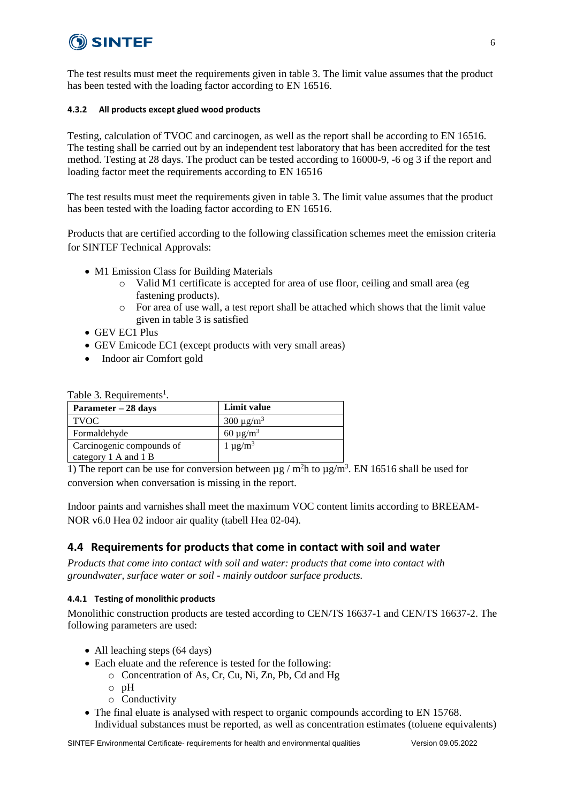# SINTEF

The test results must meet the requirements given in table 3. The limit value assumes that the product has been tested with the loading factor according to EN 16516.

### **4.3.2 All products except glued wood products**

Testing, calculation of TVOC and carcinogen, as well as the report shall be according to EN 16516. The testing shall be carried out by an independent test laboratory that has been accredited for the test method. Testing at 28 days. The product can be tested according to 16000-9, -6 og 3 if the report and loading factor meet the requirements according to EN 16516

The test results must meet the requirements given in table 3. The limit value assumes that the product has been tested with the loading factor according to EN 16516.

Products that are certified according to the following classification schemes meet the emission criteria for SINTEF Technical Approvals:

- M1 Emission Class for Building Materials
	- $\circ$  Valid M1 certificate is accepted for area of use floor, ceiling and small area (eg fastening products).
	- o For area of use wall, a test report shall be attached which shows that the limit value given in table 3 is satisfied
- GEV EC1 Plus
- GEV Emicode EC1 (except products with very small areas)
- Indoor air Comfort gold

| Table 3. Requirements <sup>1</sup> . |  |  |  |
|--------------------------------------|--|--|--|
|--------------------------------------|--|--|--|

| Parameter – 28 days       | Limit value     |
|---------------------------|-----------------|
| <b>TVOC</b>               | $300 \mu g/m^3$ |
| Formaldehyde              | $60 \mu g/m^3$  |
| Carcinogenic compounds of | $1 \mu g/m^3$   |
| category 1 A and 1 B      |                 |

1) The report can be use for conversion between  $\mu$ g / m<sup>2</sup>h to  $\mu$ g/m<sup>3</sup>. EN 16516 shall be used for conversion when conversation is missing in the report.

Indoor paints and varnishes shall meet the maximum VOC content limits according to BREEAM-NOR v6.0 Hea 02 indoor air quality (tabell Hea 02-04).

### **4.4 Requirements for products that come in contact with soil and water**

*Products that come into contact with soil and water: products that come into contact with groundwater, surface water or soil - mainly outdoor surface products.*

#### **4.4.1 Testing of monolithic products**

Monolithic construction products are tested according to CEN/TS 16637-1 and CEN/TS 16637-2. The following parameters are used:

- All leaching steps (64 days)
- Each eluate and the reference is tested for the following:
	- o Concentration of As, Cr, Cu, Ni, Zn, Pb, Cd and Hg
	- o pH
	- o Conductivity
- The final eluate is analysed with respect to organic compounds according to EN 15768. Individual substances must be reported, as well as concentration estimates (toluene equivalents)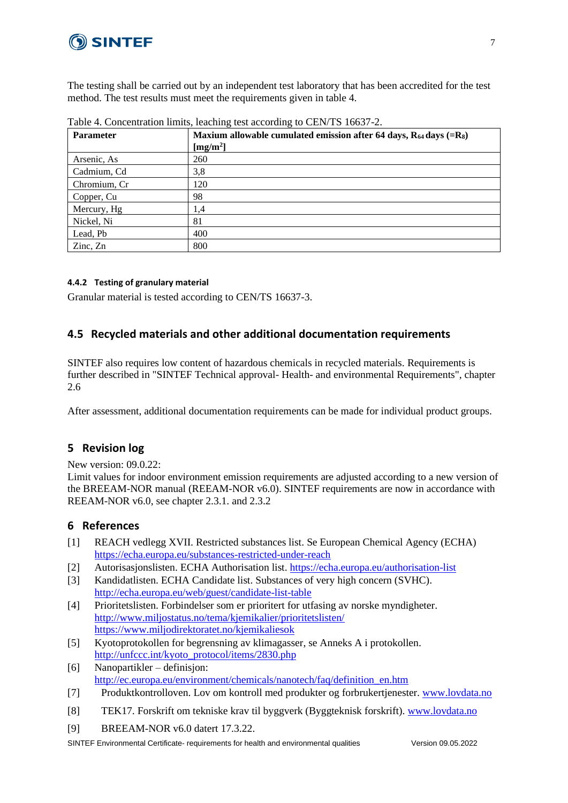

The testing shall be carried out by an independent test laboratory that has been accredited for the test method. The test results must meet the requirements given in table 4.

| <b>Parameter</b> | Maxium allowable cumulated emission after 64 days, $R_{64}$ days (= $R_8$ )<br>[mg/m <sup>2</sup> ] |
|------------------|-----------------------------------------------------------------------------------------------------|
| Arsenic, As      | 260                                                                                                 |
| Cadmium, Cd      | 3,8                                                                                                 |
| Chromium, Cr     | 120                                                                                                 |
| Copper, Cu       | 98                                                                                                  |
| Mercury, Hg      | 1,4                                                                                                 |
| Nickel, Ni       | 81                                                                                                  |
| Lead, Pb         | 400                                                                                                 |
| Zinc, Zn         | 800                                                                                                 |

Table 4. Concentration limits, leaching test according to CEN/TS 16637-2.

#### **4.4.2 Testing of granulary material**

Granular material is tested according to CEN/TS 16637-3.

### **4.5 Recycled materials and other additional documentation requirements**

SINTEF also requires low content of hazardous chemicals in recycled materials. Requirements is further described in "SINTEF Technical approval- Health- and environmental Requirements", chapter 2.6

After assessment, additional documentation requirements can be made for individual product groups.

### **5 Revision log**

New version: 09.0.22:

Limit values for indoor environment emission requirements are adjusted according to a new version of the BREEAM-NOR manual (REEAM-NOR v6.0). SINTEF requirements are now in accordance with REEAM-NOR v6.0, see chapter 2.3.1. and 2.3.2

### **6 References**

- [1] REACH vedlegg XVII. Restricted substances list. Se European Chemical Agency (ECHA) <https://echa.europa.eu/substances-restricted-under-reach>
- [2] Autorisasjonslisten. ECHA Authorisation list.<https://echa.europa.eu/authorisation-list>
- [3] Kandidatlisten. ECHA Candidate list. Substances of very high concern (SVHC). <http://echa.europa.eu/web/guest/candidate-list-table>
- [4] Prioritetslisten. Forbindelser som er prioritert for utfasing av norske myndigheter. <http://www.miljostatus.no/tema/kjemikalier/prioritetslisten/> <https://www.miljodirektoratet.no/kjemikaliesok>
- [5] Kyotoprotokollen for begrensning av klimagasser, se Anneks A i protokollen. [http://unfccc.int/kyoto\\_protocol/items/2830.php](http://unfccc.int/kyoto_protocol/items/2830.php)
- [6] Nanopartikler definisjon: [http://ec.europa.eu/environment/chemicals/nanotech/faq/definition\\_en.htm](http://ec.europa.eu/environment/chemicals/nanotech/faq/definition_en.htm)
- [7] Produktkontrolloven. Lov om kontroll med produkter og forbrukertjenester. [www.lovdata.no](http://www.lovdata.no/)
- [8] TEK17. Forskrift om tekniske krav til byggverk (Byggteknisk forskrift). [www.lovdata.no](http://www.lovdata.no/)
- [9] BREEAM-NOR v6.0 datert 17.3.22.

SINTEF Environmental Certificate- requirements for health and environmental qualities Version 09.05.2022